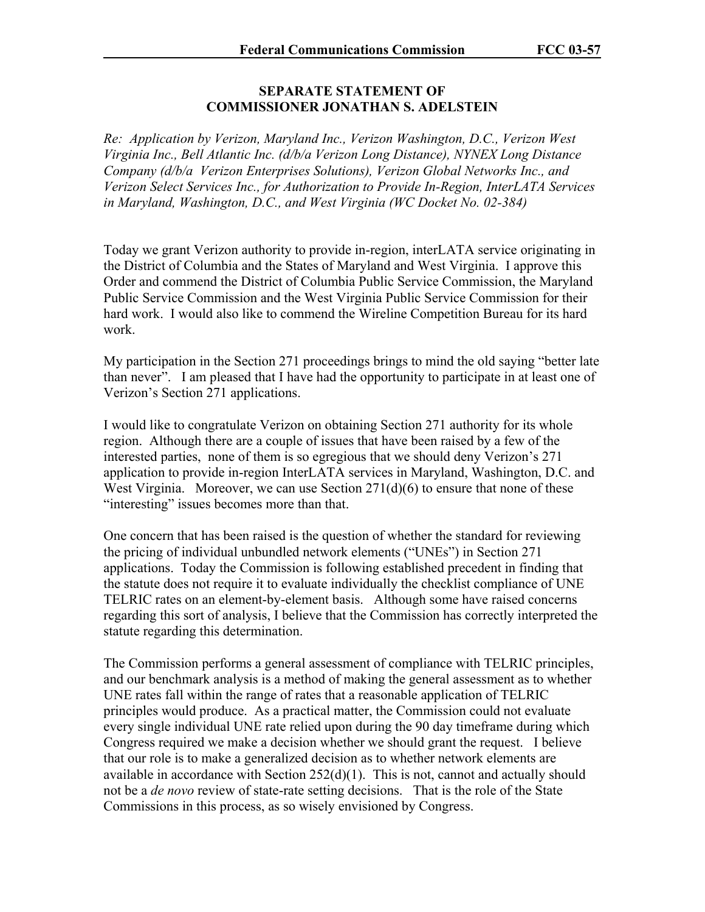## **SEPARATE STATEMENT OF COMMISSIONER JONATHAN S. ADELSTEIN**

*Re: Application by Verizon, Maryland Inc., Verizon Washington, D.C., Verizon West Virginia Inc., Bell Atlantic Inc. (d/b/a Verizon Long Distance), NYNEX Long Distance Company (d/b/a Verizon Enterprises Solutions), Verizon Global Networks Inc., and Verizon Select Services Inc., for Authorization to Provide In-Region, InterLATA Services in Maryland, Washington, D.C., and West Virginia (WC Docket No. 02-384)* 

Today we grant Verizon authority to provide in-region, interLATA service originating in the District of Columbia and the States of Maryland and West Virginia. I approve this Order and commend the District of Columbia Public Service Commission, the Maryland Public Service Commission and the West Virginia Public Service Commission for their hard work. I would also like to commend the Wireline Competition Bureau for its hard work.

My participation in the Section 271 proceedings brings to mind the old saying "better late than never". I am pleased that I have had the opportunity to participate in at least one of Verizon's Section 271 applications.

I would like to congratulate Verizon on obtaining Section 271 authority for its whole region. Although there are a couple of issues that have been raised by a few of the interested parties, none of them is so egregious that we should deny Verizon's 271 application to provide in-region InterLATA services in Maryland, Washington, D.C. and West Virginia. Moreover, we can use Section 271(d)(6) to ensure that none of these "interesting" issues becomes more than that.

One concern that has been raised is the question of whether the standard for reviewing the pricing of individual unbundled network elements ("UNEs") in Section 271 applications. Today the Commission is following established precedent in finding that the statute does not require it to evaluate individually the checklist compliance of UNE TELRIC rates on an element-by-element basis. Although some have raised concerns regarding this sort of analysis, I believe that the Commission has correctly interpreted the statute regarding this determination.

The Commission performs a general assessment of compliance with TELRIC principles, and our benchmark analysis is a method of making the general assessment as to whether UNE rates fall within the range of rates that a reasonable application of TELRIC principles would produce. As a practical matter, the Commission could not evaluate every single individual UNE rate relied upon during the 90 day timeframe during which Congress required we make a decision whether we should grant the request. I believe that our role is to make a generalized decision as to whether network elements are available in accordance with Section  $252(d)(1)$ . This is not, cannot and actually should not be a *de novo* review of state-rate setting decisions. That is the role of the State Commissions in this process, as so wisely envisioned by Congress.